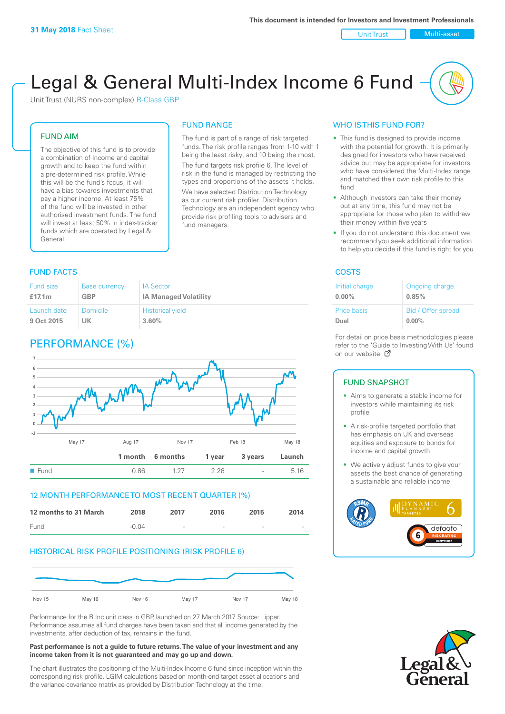Unit Trust Nulti-asset

# Legal & General Multi-Index Income 6 Fund

Unit Trust (NURS non-complex) R-Class GBP

#### FUND AIM

The objective of this fund is to provide a combination of income and capital growth and to keep the fund within a pre-determined risk profile. While this will be the fund's focus, it will have a bias towards investments that pay a higher income. At least 75% of the fund will be invested in other authorised investment funds. The fund will invest at least 50% in index-tracker funds which are operated by Legal & General.

### FUND RANGE

The fund is part of a range of risk targeted funds. The risk profile ranges from 1-10 with 1 being the least risky, and 10 being the most. The fund targets risk profile 6. The level of risk in the fund is managed by restricting the

types and proportions of the assets it holds. We have selected Distribution Technology as our current risk profiler. Distribution Technology are an independent agency who provide risk profiling tools to advisers and fund managers.

#### **FUND FACTS** COSTS

| Fund size   | <b>Base currency</b> | <b>IA Sector</b>             |
|-------------|----------------------|------------------------------|
| £17.1 $m$   | GBP                  | <b>IA Managed Volatility</b> |
| Launch date | Domicile             | <b>Historical yield</b>      |
| 9 Oct 2015  | UK                   | 3.60%                        |

### PERFORMANCE (%)



#### 12 MONTH PERFORMANCE TO MOST RECENT QUARTER (%)



#### HISTORICAL RISK PROFILE POSITIONING (RISK PROFILE 6)



Performance for the R Inc unit class in GBP, launched on 27 March 2017. Source: Lipper. Performance assumes all fund charges have been taken and that all income generated by the investments, after deduction of tax, remains in the fund.

#### **Past performance is not a guide to future returns. The value of your investment and any income taken from it is not guaranteed and may go up and down.**

The chart illustrates the positioning of the Multi-Index Income 6 fund since inception within the corresponding risk profile. LGIM calculations based on month-end target asset allocations and the variance-covariance matrix as provided by Distribution Technology at the time.

#### WHO IS THIS FUND FOR?

- This fund is designed to provide income with the potential for growth. It is primarily designed for investors who have received advice but may be appropriate for investors who have considered the Multi-Index range and matched their own risk profile to this fund
- Although investors can take their money out at any time, this fund may not be appropriate for those who plan to withdraw their money within five years
- If you do not understand this document we recommend you seek additional information to help you decide if this fund is right for you

| Initial charge | Ongoing charge     |
|----------------|--------------------|
| $0.00\%$       | 0.85%              |
| Price basis    | Bid / Offer spread |
| Dual           | $0.00\%$           |

For detail on price basis methodologies please refer to the 'Gu[ide t](http://www.legalandgeneral.com/guide)o Investing With Us' found on our website. Ø

#### FUND SNAPSHOT

- Aims to generate a stable income for investors while maintaining its risk profile
- A risk-profile targeted portfolio that has emphasis on UK and overseas equities and exposure to bonds for income and capital growth
- We actively adjust funds to give your assets the best chance of generating a sustainable and reliable income



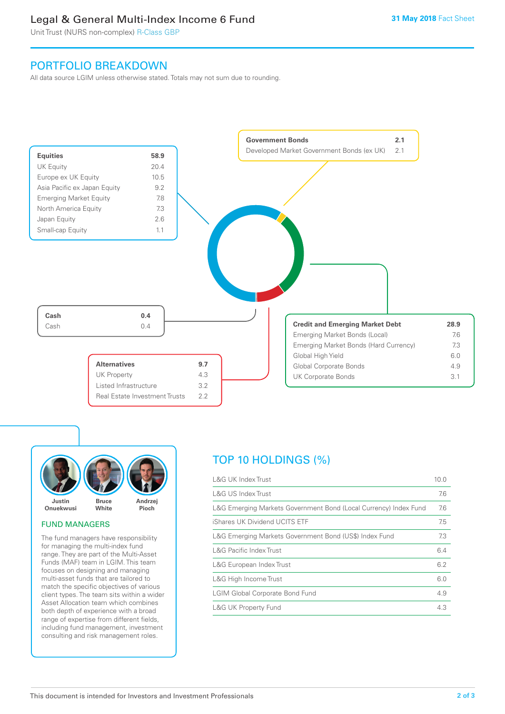### Legal & General Multi-Index Income 6 Fund

Unit Trust (NURS non-complex) R-Class GBP

### PORTFOLIO BREAKDOWN

All data source LGIM unless otherwise stated. Totals may not sum due to rounding.





#### FUND MANAGERS

The fund managers have responsibility for managing the multi-index fund range. They are part of the Multi-Asset Funds (MAF) team in LGIM. This team focuses on designing and managing multi-asset funds that are tailored to match the specific objectives of various client types. The team sits within a wider Asset Allocation team which combines both depth of experience with a broad range of expertise from different fields, including fund management, investment consulting and risk management roles.

## TOP 10 HOLDINGS (%)

| <b>L&amp;G UK Index Trust</b>                                    | 10.0 |
|------------------------------------------------------------------|------|
| L&G US Index Trust                                               | 7.6  |
| L&G Emerging Markets Government Bond (Local Currency) Index Fund | 7.6  |
| iShares UK Dividend UCITS ETF                                    | 7.5  |
| L&G Emerging Markets Government Bond (US\$) Index Fund           | 7.3  |
| <b>L&amp;G Pacific Index Trust</b>                               | 6.4  |
| L&G European Index Trust                                         | 6.2  |
| L&G High Income Trust                                            | 6.0  |
| <b>LGIM Global Corporate Bond Fund</b>                           | 4.9  |
| <b>L&amp;G UK Property Fund</b>                                  | 4.3  |